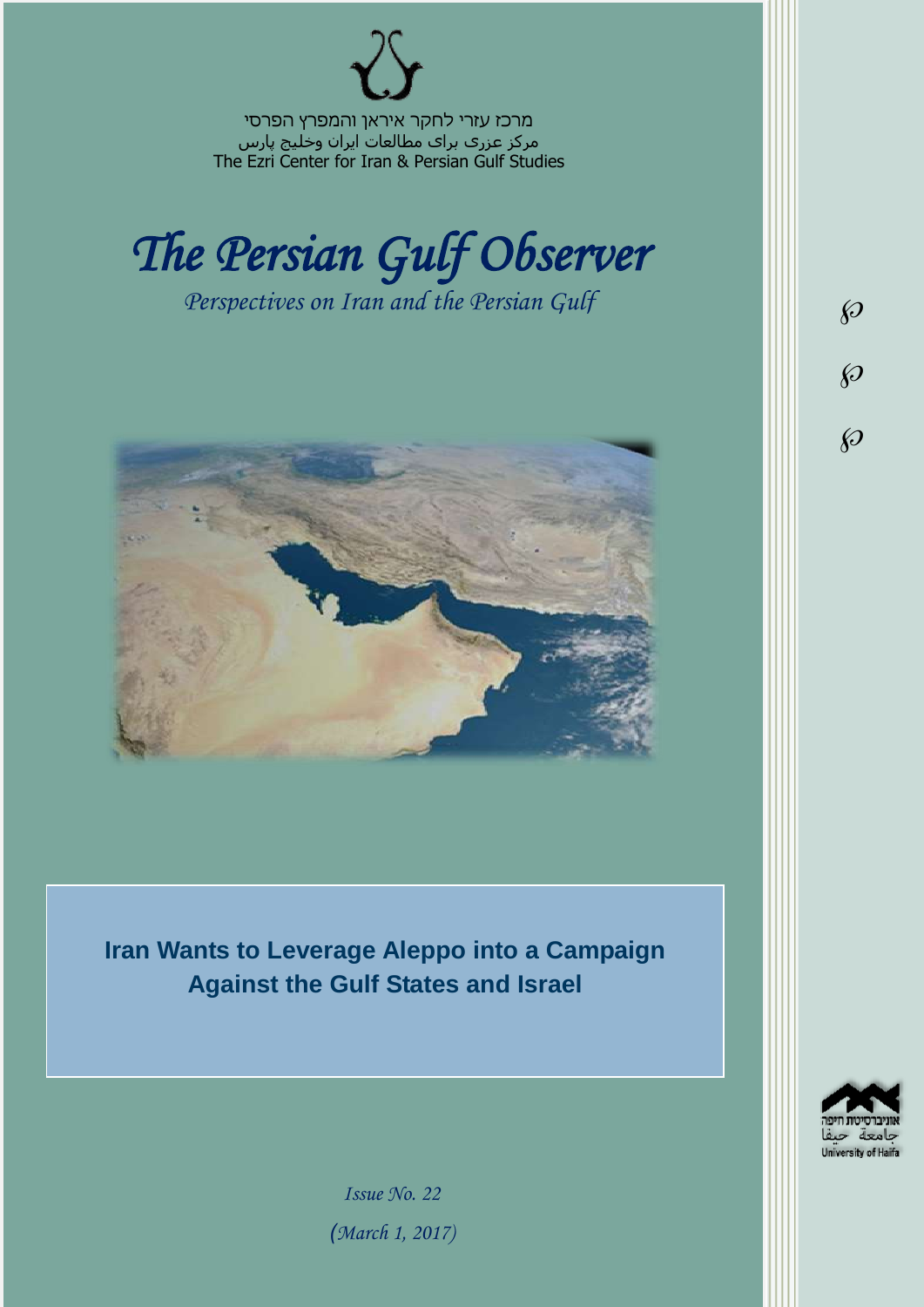מרכז עזרי לחקר איראן והמפרץ הפרסי مرکز عزری برای مطالعات ایران وخلیج پارس The Ezri Center for Iran & Persian Gulf Studies



*Perspectives on Iran and the Persian Gulf* 



**Iran Wants to Leverage Aleppo into a Campaign Against the Gulf States and Israel**



 $\wp$ 

 $\wp$ 

 $\wp$ 

*Issue No. 22 )March 1, 2017)*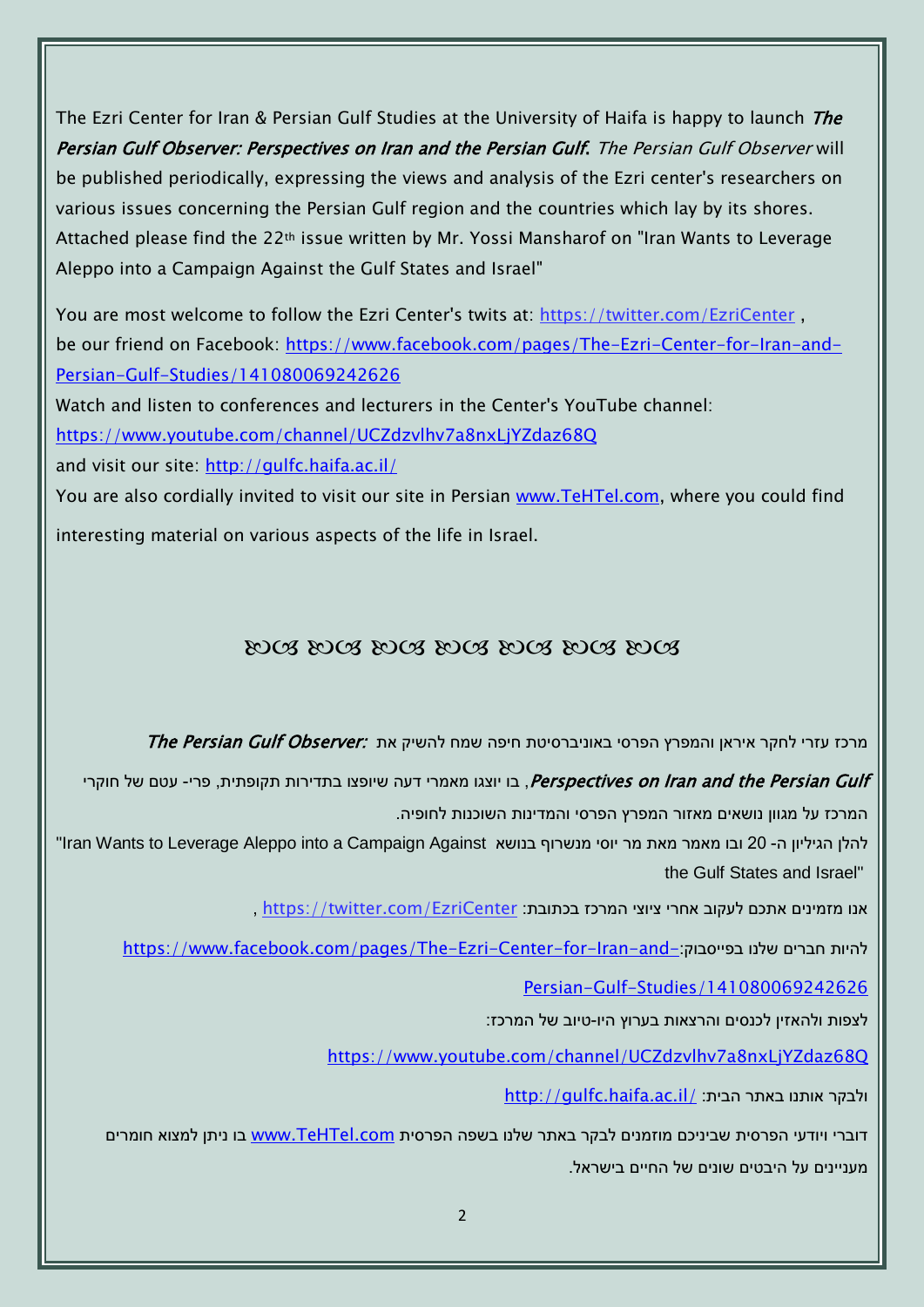The Ezri Center for Iran & Persian Gulf Studies at the University of Haifa is happy to launch The Persian Gulf Observer: Perspectives on Iran and the Persian Gulf. The Persian Gulf Observer will be published periodically, expressing the views and analysis of the Ezri center's researchers on various issues concerning the Persian Gulf region and the countries which lay by its shores. Attached please find the 22th issue written by Mr. Yossi Mansharof on "Iran Wants to Leverage Aleppo into a Campaign Against the Gulf States and Israel"

You are most welcome to follow the Ezri Center's twits at: <https://twitter.com/EzriCenter> , be our friend on Facebook: [https://www.facebook.com/pages/The-Ezri-Center-for-Iran-and-](https://www.facebook.com/pages/The-Ezri-Center-for-Iran-and-Persian-Gulf-Studies/141080069242626)[Persian-Gulf-Studies/141080069242626](https://www.facebook.com/pages/The-Ezri-Center-for-Iran-and-Persian-Gulf-Studies/141080069242626)

Watch and listen to conferences and lecturers in the Center's YouTube channel:

<https://www.youtube.com/channel/UCZdzvlhv7a8nxLjYZdaz68Q>

and visit our site:<http://gulfc.haifa.ac.il/>

You are also cordially invited to visit our site in Persian [www.TeHTel.com,](http://www.tehtel.com/) where you could find interesting material on various aspects of the life in Israel.

## DOG DOG DOG DOG DOG DOG DOG

תרכז עזרי לחקר איראן והמפרץ הפרסי באוניברסיטת חיפה שמח להשיק את :The Persian Gulf Observer

Perspectives on Iran and the Persian Gulf, בו יוצגו מאמרי דעה שיופצו בתדירות תקופתית, פרי- עטם של חוקרי

המרכז על מגוון נושאים מאזור המפרץ הפרסי והמדינות השוכנות לחופיה.

להלן הגיליון ה- 20 ובו מאמר מאת מר יוסי מנשרוף בנושא Iran Wants to Leverage Aleppo into a Campaign Against" the Gulf States and Israel"

אנו מזמינים אתכם לעקוב אחרי ציוצי המרכז בכתובת: [EzriCenter/com.twitter://https](https://twitter.com/EzriCenter) ,

[https://www.facebook.com/pages/The-Ezri-Center-for-Iran-and-](https://www.facebook.com/pages/The-Ezri-Center-for-Iran-and-Persian-Gulf-Studies/141080069242626)

[Persian-Gulf-Studies/141080069242626](https://www.facebook.com/pages/The-Ezri-Center-for-Iran-and-Persian-Gulf-Studies/141080069242626)

לצפות ולהאזין לכנסים והרצאות בערוץ היו-טיוב של המרכז:

<https://www.youtube.com/channel/UCZdzvlhv7a8nxLjYZdaz68Q>

<http://gulfc.haifa.ac.il/> ולבקר אותנו באתר הבית:

דוברי ויודעי הפרסית שביניכם מוזמנים לבקר באתר שלנו בשפה הפרסית [com.TeHTel.www](http://www.tehtel.com/) בו ניתן למצוא חומרים מעניינים על היבטים שונים של החיים בישראל.